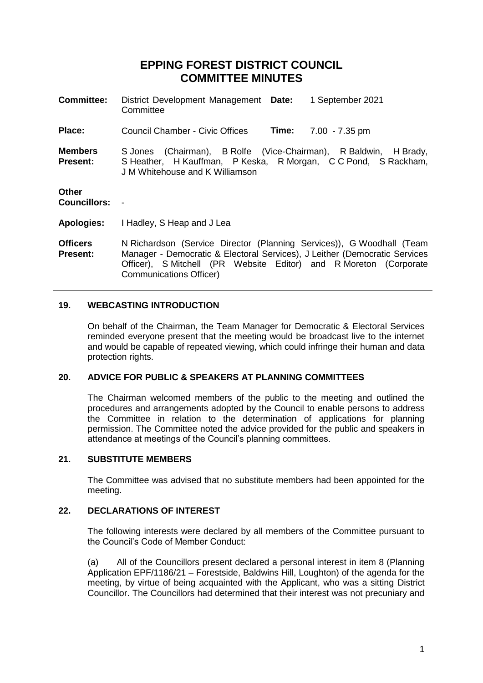# **EPPING FOREST DISTRICT COUNCIL COMMITTEE MINUTES**

| <b>Committee:</b>                  | District Development Management Date:<br>1 September 2021<br>Committee                                                                                                                                                                              |
|------------------------------------|-----------------------------------------------------------------------------------------------------------------------------------------------------------------------------------------------------------------------------------------------------|
| Place:                             | <b>Council Chamber - Civic Offices</b><br><b>Time:</b> 7.00 - 7.35 pm                                                                                                                                                                               |
| <b>Members</b><br><b>Present:</b>  | S Jones (Chairman), B Rolfe (Vice-Chairman), R Baldwin, H Brady,<br>S Heather, H Kauffman, P Keska, R Morgan, C C Pond, S Rackham,<br>J M Whitehouse and K Williamson                                                                               |
| <b>Other</b><br>Councillors: -     |                                                                                                                                                                                                                                                     |
| <b>Apologies:</b>                  | I Hadley, S Heap and J Lea                                                                                                                                                                                                                          |
| <b>Officers</b><br><b>Present:</b> | N Richardson (Service Director (Planning Services)), G Woodhall (Team<br>Manager - Democratic & Electoral Services), J Leither (Democratic Services<br>Officer), S Mitchell (PR Website Editor) and R Moreton (Corporate<br>Communications Officer) |

#### **19. WEBCASTING INTRODUCTION**

On behalf of the Chairman, the Team Manager for Democratic & Electoral Services reminded everyone present that the meeting would be broadcast live to the internet and would be capable of repeated viewing, which could infringe their human and data protection rights.

#### **20. ADVICE FOR PUBLIC & SPEAKERS AT PLANNING COMMITTEES**

The Chairman welcomed members of the public to the meeting and outlined the procedures and arrangements adopted by the Council to enable persons to address the Committee in relation to the determination of applications for planning permission. The Committee noted the advice provided for the public and speakers in attendance at meetings of the Council's planning committees.

# **21. SUBSTITUTE MEMBERS**

The Committee was advised that no substitute members had been appointed for the meeting.

# **22. DECLARATIONS OF INTEREST**

The following interests were declared by all members of the Committee pursuant to the Council's Code of Member Conduct:

(a) All of the Councillors present declared a personal interest in item 8 (Planning Application EPF/1186/21 – Forestside, Baldwins Hill, Loughton) of the agenda for the meeting, by virtue of being acquainted with the Applicant, who was a sitting District Councillor. The Councillors had determined that their interest was not precuniary and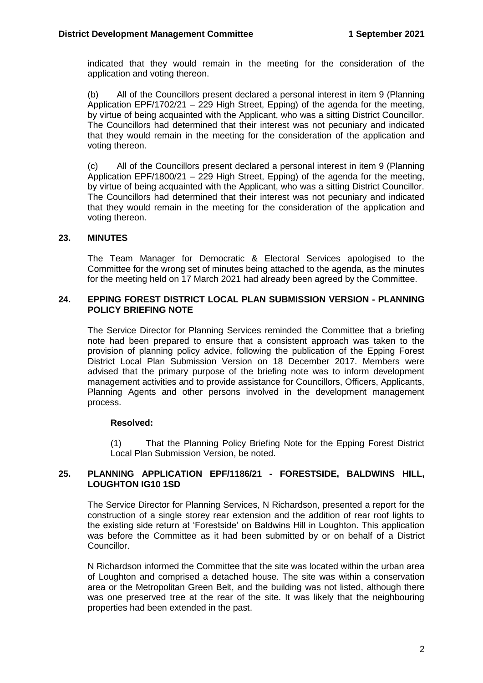indicated that they would remain in the meeting for the consideration of the application and voting thereon.

(b) All of the Councillors present declared a personal interest in item 9 (Planning Application EPF/1702/21 – 229 High Street, Epping) of the agenda for the meeting, by virtue of being acquainted with the Applicant, who was a sitting District Councillor. The Councillors had determined that their interest was not pecuniary and indicated that they would remain in the meeting for the consideration of the application and voting thereon.

(c) All of the Councillors present declared a personal interest in item 9 (Planning Application EPF/1800/21 – 229 High Street, Epping) of the agenda for the meeting, by virtue of being acquainted with the Applicant, who was a sitting District Councillor. The Councillors had determined that their interest was not pecuniary and indicated that they would remain in the meeting for the consideration of the application and voting thereon.

#### **23. MINUTES**

The Team Manager for Democratic & Electoral Services apologised to the Committee for the wrong set of minutes being attached to the agenda, as the minutes for the meeting held on 17 March 2021 had already been agreed by the Committee.

#### **24. EPPING FOREST DISTRICT LOCAL PLAN SUBMISSION VERSION - PLANNING POLICY BRIEFING NOTE**

The Service Director for Planning Services reminded the Committee that a briefing note had been prepared to ensure that a consistent approach was taken to the provision of planning policy advice, following the publication of the Epping Forest District Local Plan Submission Version on 18 December 2017. Members were advised that the primary purpose of the briefing note was to inform development management activities and to provide assistance for Councillors, Officers, Applicants, Planning Agents and other persons involved in the development management process.

#### **Resolved:**

(1) That the Planning Policy Briefing Note for the Epping Forest District Local Plan Submission Version, be noted.

#### **25. PLANNING APPLICATION EPF/1186/21 - FORESTSIDE, BALDWINS HILL, LOUGHTON IG10 1SD**

The Service Director for Planning Services, N Richardson, presented a report for the construction of a single storey rear extension and the addition of rear roof lights to the existing side return at 'Forestside' on Baldwins Hill in Loughton. This application was before the Committee as it had been submitted by or on behalf of a District Councillor.

N Richardson informed the Committee that the site was located within the urban area of Loughton and comprised a detached house. The site was within a conservation area or the Metropolitan Green Belt, and the building was not listed, although there was one preserved tree at the rear of the site. It was likely that the neighbouring properties had been extended in the past.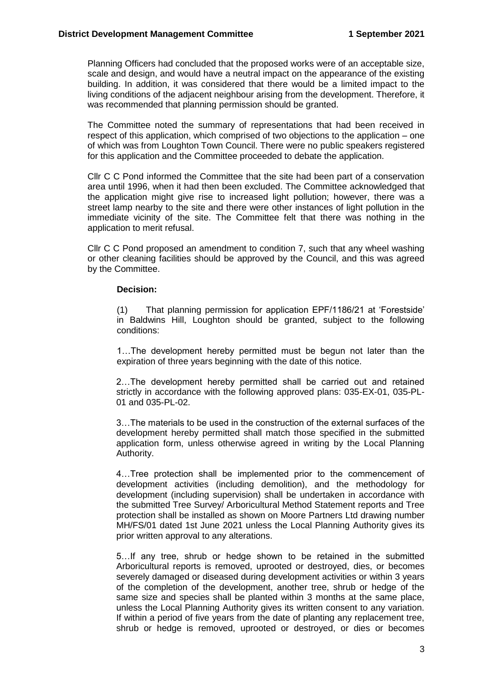Planning Officers had concluded that the proposed works were of an acceptable size, scale and design, and would have a neutral impact on the appearance of the existing building. In addition, it was considered that there would be a limited impact to the living conditions of the adjacent neighbour arising from the development. Therefore, it was recommended that planning permission should be granted.

The Committee noted the summary of representations that had been received in respect of this application, which comprised of two objections to the application – one of which was from Loughton Town Council. There were no public speakers registered for this application and the Committee proceeded to debate the application.

Cllr C C Pond informed the Committee that the site had been part of a conservation area until 1996, when it had then been excluded. The Committee acknowledged that the application might give rise to increased light pollution; however, there was a street lamp nearby to the site and there were other instances of light pollution in the immediate vicinity of the site. The Committee felt that there was nothing in the application to merit refusal.

Cllr C C Pond proposed an amendment to condition 7, such that any wheel washing or other cleaning facilities should be approved by the Council, and this was agreed by the Committee.

#### **Decision:**

(1) That planning permission for application EPF/1186/21 at 'Forestside' in Baldwins Hill, Loughton should be granted, subject to the following conditions:

1…The development hereby permitted must be begun not later than the expiration of three years beginning with the date of this notice.

2…The development hereby permitted shall be carried out and retained strictly in accordance with the following approved plans: 035-EX-01, 035-PL-01 and 035-PL-02.

3…The materials to be used in the construction of the external surfaces of the development hereby permitted shall match those specified in the submitted application form, unless otherwise agreed in writing by the Local Planning Authority.

4…Tree protection shall be implemented prior to the commencement of development activities (including demolition), and the methodology for development (including supervision) shall be undertaken in accordance with the submitted Tree Survey/ Arboricultural Method Statement reports and Tree protection shall be installed as shown on Moore Partners Ltd drawing number MH/FS/01 dated 1st June 2021 unless the Local Planning Authority gives its prior written approval to any alterations.

5…If any tree, shrub or hedge shown to be retained in the submitted Arboricultural reports is removed, uprooted or destroyed, dies, or becomes severely damaged or diseased during development activities or within 3 years of the completion of the development, another tree, shrub or hedge of the same size and species shall be planted within 3 months at the same place, unless the Local Planning Authority gives its written consent to any variation. If within a period of five years from the date of planting any replacement tree, shrub or hedge is removed, uprooted or destroyed, or dies or becomes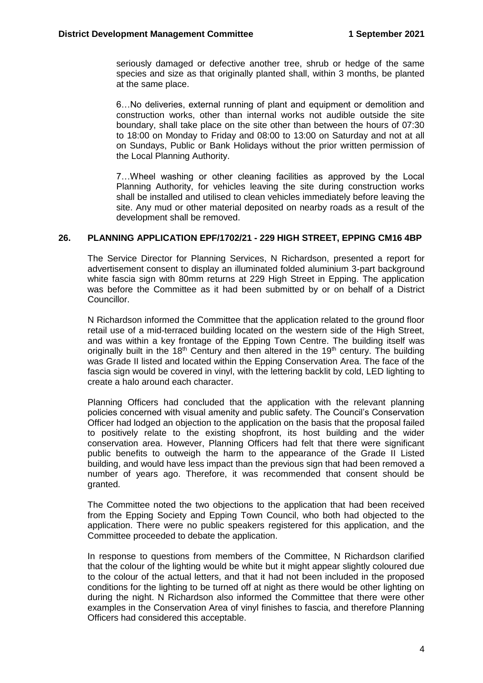seriously damaged or defective another tree, shrub or hedge of the same species and size as that originally planted shall, within 3 months, be planted at the same place.

6…No deliveries, external running of plant and equipment or demolition and construction works, other than internal works not audible outside the site boundary, shall take place on the site other than between the hours of 07:30 to 18:00 on Monday to Friday and 08:00 to 13:00 on Saturday and not at all on Sundays, Public or Bank Holidays without the prior written permission of the Local Planning Authority.

7…Wheel washing or other cleaning facilities as approved by the Local Planning Authority, for vehicles leaving the site during construction works shall be installed and utilised to clean vehicles immediately before leaving the site. Any mud or other material deposited on nearby roads as a result of the development shall be removed.

## **26. PLANNING APPLICATION EPF/1702/21 - 229 HIGH STREET, EPPING CM16 4BP**

The Service Director for Planning Services, N Richardson, presented a report for advertisement consent to display an illuminated folded aluminium 3-part background white fascia sign with 80mm returns at 229 High Street in Epping. The application was before the Committee as it had been submitted by or on behalf of a District Councillor.

N Richardson informed the Committee that the application related to the ground floor retail use of a mid-terraced building located on the western side of the High Street, and was within a key frontage of the Epping Town Centre. The building itself was originally built in the  $18<sup>th</sup>$  Century and then altered in the  $19<sup>th</sup>$  century. The building was Grade II listed and located within the Epping Conservation Area. The face of the fascia sign would be covered in vinyl, with the lettering backlit by cold, LED lighting to create a halo around each character.

Planning Officers had concluded that the application with the relevant planning policies concerned with visual amenity and public safety. The Council's Conservation Officer had lodged an objection to the application on the basis that the proposal failed to positively relate to the existing shopfront, its host building and the wider conservation area. However, Planning Officers had felt that there were significant public benefits to outweigh the harm to the appearance of the Grade II Listed building, and would have less impact than the previous sign that had been removed a number of years ago. Therefore, it was recommended that consent should be granted.

The Committee noted the two objections to the application that had been received from the Epping Society and Epping Town Council, who both had objected to the application. There were no public speakers registered for this application, and the Committee proceeded to debate the application.

In response to questions from members of the Committee, N Richardson clarified that the colour of the lighting would be white but it might appear slightly coloured due to the colour of the actual letters, and that it had not been included in the proposed conditions for the lighting to be turned off at night as there would be other lighting on during the night. N Richardson also informed the Committee that there were other examples in the Conservation Area of vinyl finishes to fascia, and therefore Planning Officers had considered this acceptable.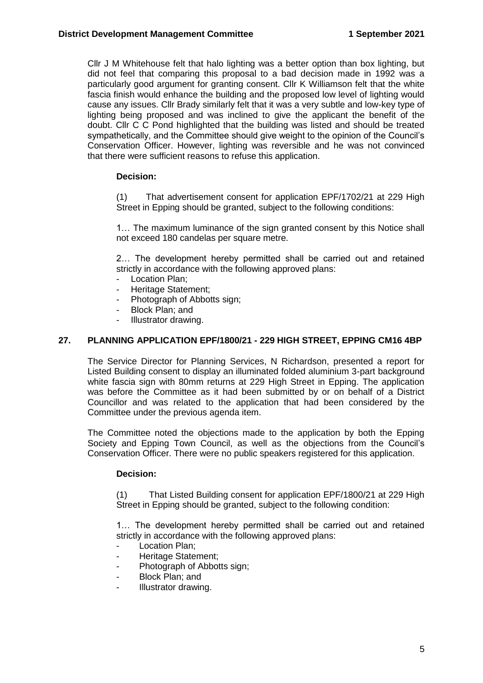Cllr J M Whitehouse felt that halo lighting was a better option than box lighting, but did not feel that comparing this proposal to a bad decision made in 1992 was a particularly good argument for granting consent. Cllr K Williamson felt that the white fascia finish would enhance the building and the proposed low level of lighting would cause any issues. Cllr Brady similarly felt that it was a very subtle and low-key type of lighting being proposed and was inclined to give the applicant the benefit of the doubt. Cllr C C Pond highlighted that the building was listed and should be treated sympathetically, and the Committee should give weight to the opinion of the Council's Conservation Officer. However, lighting was reversible and he was not convinced that there were sufficient reasons to refuse this application.

# **Decision:**

(1) That advertisement consent for application EPF/1702/21 at 229 High Street in Epping should be granted, subject to the following conditions:

1… The maximum luminance of the sign granted consent by this Notice shall not exceed 180 candelas per square metre.

2… The development hereby permitted shall be carried out and retained strictly in accordance with the following approved plans:

- Location Plan;
- Heritage Statement:
- Photograph of Abbotts sign;
- Block Plan; and
- Illustrator drawing.

#### **27. PLANNING APPLICATION EPF/1800/21 - 229 HIGH STREET, EPPING CM16 4BP**

The Service Director for Planning Services, N Richardson, presented a report for Listed Building consent to display an illuminated folded aluminium 3-part background white fascia sign with 80mm returns at 229 High Street in Epping. The application was before the Committee as it had been submitted by or on behalf of a District Councillor and was related to the application that had been considered by the Committee under the previous agenda item.

The Committee noted the objections made to the application by both the Epping Society and Epping Town Council, as well as the objections from the Council's Conservation Officer. There were no public speakers registered for this application.

#### **Decision:**

(1) That Listed Building consent for application EPF/1800/21 at 229 High Street in Epping should be granted, subject to the following condition:

1… The development hereby permitted shall be carried out and retained strictly in accordance with the following approved plans:

- Location Plan;
- Heritage Statement;
- Photograph of Abbotts sign;
- Block Plan; and
- Illustrator drawing.